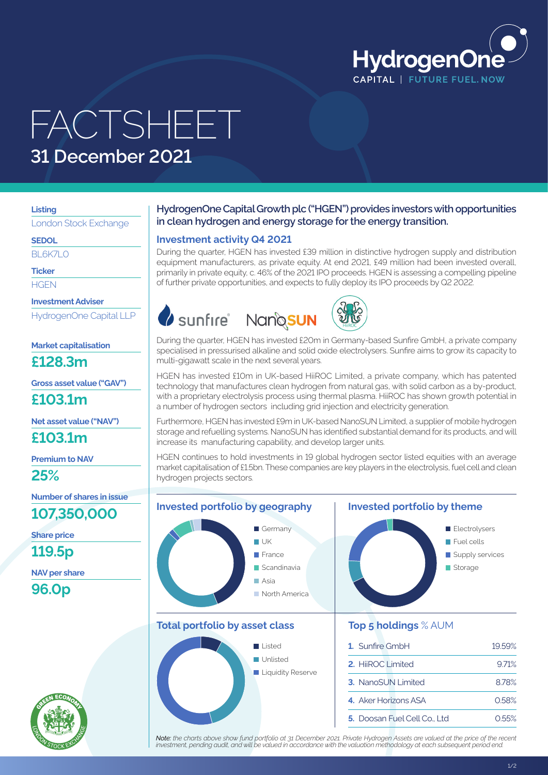

## FACTSHEET **31 December 2021**

#### **Listing**

London Stock Exchange

**SEDOL**

**BL6K7LO** 

**Ticker**

**HGEN** 

**Investment Adviser**

HydrogenOne Capital LLP

**Market capitalisation**

**£128.3m**

**Gross asset value ("GAV")**

**£103.1m**

**Net asset value ("NAV")**

**£103.1m**

**Premium to NAV**

**25%**

**Number of shares in issue**

**107,350,000**

**Share price**

**119.5p**

**NAV per share**

**96.0p**



## **HydrogenOne Capital Growth plc ("HGEN") provides investors with opportunities in clean hydrogen and energy storage for the energy transition.**

## **Investment activity Q4 2021**

During the quarter, HGEN has invested £39 million in distinctive hydrogen supply and distribution equipment manufacturers, as private equity. At end 2021, £49 million had been invested overall, primarily in private equity, c. 46% of the 2021 IPO proceeds. HGEN is assessing a compelling pipeline of further private opportunities, and expects to fully deploy its IPO proceeds by Q2 2022.





During the quarter, HGEN has invested £20m in Germany- based Sunfire GmbH, a private company specialised in pressurised alkaline and solid oxide electrolysers. Sunfire aims to grow its capacity to multi-gigawatt scale in the next several years.

HGEN has invested £10m in UK-based HiiROC Limited, a private company, which has patented technology that manufactures clean hydrogen from natural gas, with solid carbon as a by-product, with a proprietary electrolysis process using thermal plasma. HiiROC has shown growth potential in a number of hydrogen sectors including grid injection and electricity generation.

Furthermore, HGEN has invested £9m in UK- based NanoSUN Limited, a supplier of mobile hydrogen storage and refuelling systems. NanoSUN has identified substantial demand for its products, and will increase its manufacturing capability, and develop larger units.

HGEN continues to hold investments in 19 global hydrogen sector listed equities with an average market capitalisation of £1.5bn. These companies are key players in the electrolysis, fuel cell and clean hydrogen projects sectors.



**Note**: the charts above show fund portfolio at 31 December 2021. Private Hydrogen Assets are valued at the price of the recent<br>investment, pending audit, and will be valued in accordance with the valuation methodology at